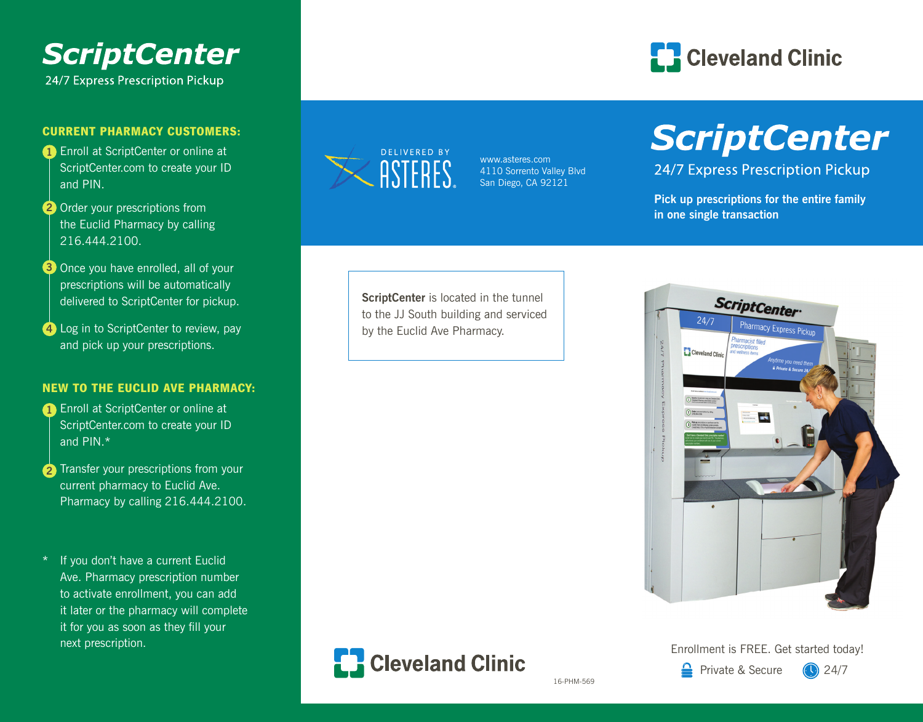

#### CURRENT PHARMACY CUSTOMERS:

- **1** Enroll at ScriptCenter or online at ScriptCenter.com to create your ID and PIN.
- 2 Order your prescriptions from the Euclid Pharmacy by calling 216.444.2100.
- Once you have enrolled, all of your **3** prescriptions will be automatically delivered to ScriptCenter for pickup.
- Log in to ScriptCenter to review, pay **4** and pick up your prescriptions.

#### NEW TO THE EUCLID AVE PHARMACY:

- **1** Enroll at ScriptCenter or online at ScriptCenter.com to create your ID and PIN.\*
- **2** Transfer your prescriptions from your current pharmacy to Euclid Ave. Pharmacy by calling 216.444.2100.
- \* If you don't have a current Euclid Ave. Pharmacy prescription number to activate enrollment, you can add it later or the pharmacy will complete it for you as soon as they fill your next prescription.



www.asteres.com 4110 Sorrento Valley Blvd San Diego, CA 92121



## **ScriptCenter**

24/7 Express Prescription Pickup

**Pick up prescriptions for the entire family in one single transaction** 

**ScriptCenter** is located in the tunnel to the JJ South building and serviced by the Euclid Ave Pharmacy.





Enrollment is FREE. Get started today!

16-PHM-569

 $\triangle$  Private & Secure  $\triangle$  24/7